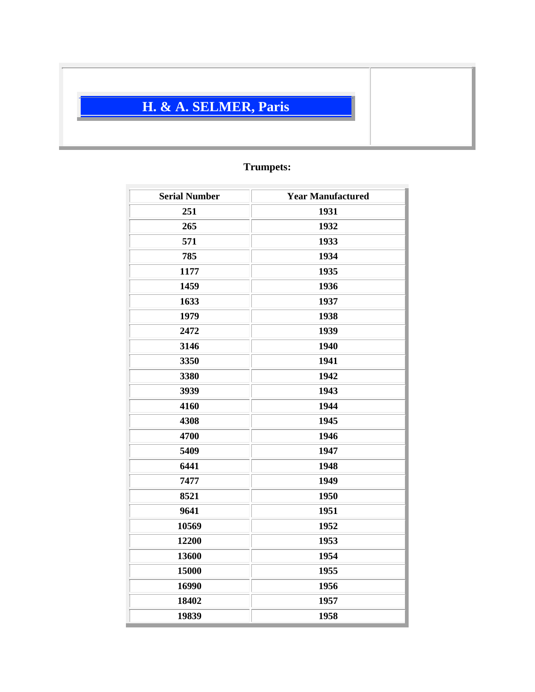## **H. & A. SELMER, Paris**

## **Trumpets:**

| <b>Serial Number</b> | <b>Year Manufactured</b> |
|----------------------|--------------------------|
| 251                  | 1931                     |
| 265                  | 1932                     |
| 571                  | 1933                     |
| 785                  | 1934                     |
| 1177                 | 1935                     |
| 1459                 | 1936                     |
| 1633                 | 1937                     |
| 1979                 | 1938                     |
| 2472                 | 1939                     |
| 3146                 | 1940                     |
| 3350                 | 1941                     |
| 3380                 | 1942                     |
| 3939                 | 1943                     |
| 4160                 | 1944                     |
| 4308                 | 1945                     |
| 4700                 | 1946                     |
| 5409                 | 1947                     |
| 6441                 | 1948                     |
| 7477                 | 1949                     |
| 8521                 | 1950                     |
| 9641                 | 1951                     |
| 10569                | 1952                     |
| 12200                | 1953                     |
| 13600                | 1954                     |
| 15000                | 1955                     |
| 16990                | 1956                     |
| 18402                | 1957                     |
| 19839                | 1958                     |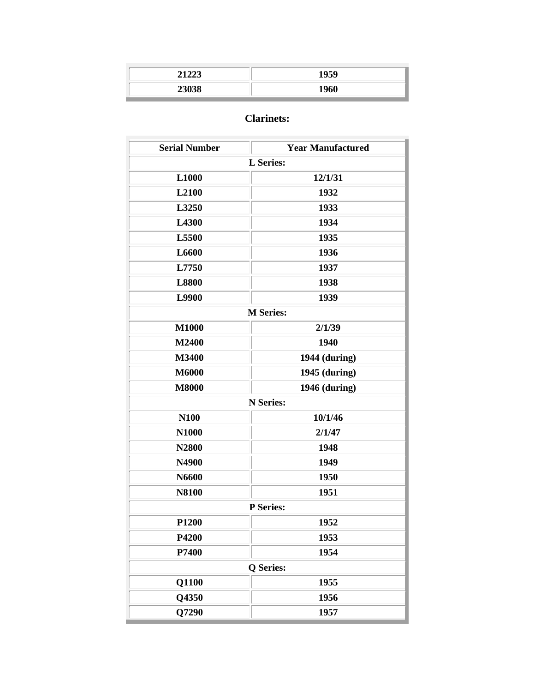| 21222<br>∼ | 1959 |
|------------|------|
| 23038      | 1960 |

## **Clarinets:**

| <b>Serial Number</b> | <b>Year Manufactured</b> |
|----------------------|--------------------------|
|                      | <b>L</b> Series:         |
| L1000                | 12/1/31                  |
| L2100                | 1932                     |
| L3250                | 1933                     |
| L4300                | 1934                     |
| L5500                | 1935                     |
| L6600                | 1936                     |
| L7750                | 1937                     |
| <b>L8800</b>         | 1938                     |
| L9900                | 1939                     |
| <b>M</b> Series:     |                          |
| <b>M1000</b>         | 2/1/39                   |
| M2400                | 1940                     |
| M3400                | 1944 (during)            |
| M6000                | 1945 (during)            |
| <b>M8000</b>         | 1946 (during)            |
| <b>N</b> Series:     |                          |
| <b>N100</b>          | 10/1/46                  |
| N1000                | 2/1/47                   |
| N2800                | 1948                     |
| N4900                | 1949                     |
| N6600                | 1950                     |
| <b>N8100</b>         | 1951                     |
| <b>P</b> Series:     |                          |
| P1200                | 1952                     |
| P4200                | 1953                     |
| P7400                | 1954                     |
| <b>Q</b> Series:     |                          |
| Q1100                | 1955                     |
| Q4350                | 1956                     |
| Q7290                | 1957                     |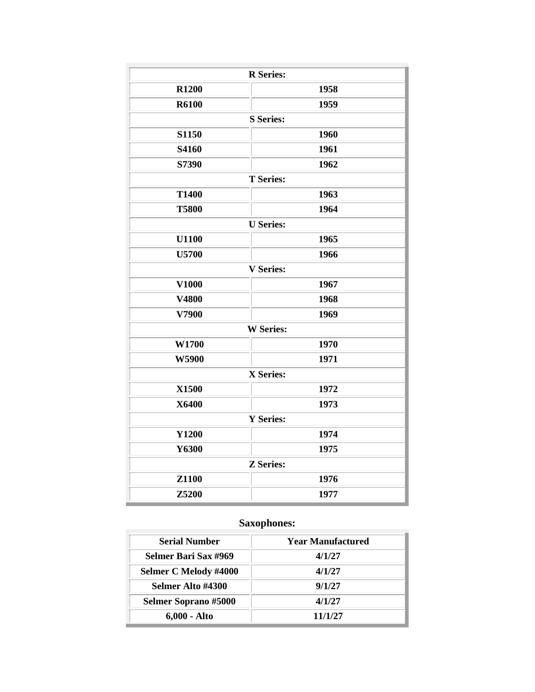| <b>R</b> Series: |                  |  |
|------------------|------------------|--|
| <b>R1200</b>     | 1958             |  |
| <b>R6100</b>     | 1959             |  |
|                  | <b>S</b> Series: |  |
| S1150            | 1960             |  |
| S4160            | 1961             |  |
| S7390            | 1962             |  |
| <b>T</b> Series: |                  |  |
| <b>T1400</b>     | 1963             |  |
| <b>T5800</b>     | 1964             |  |
| <b>U</b> Series: |                  |  |
| <b>U1100</b>     | 1965             |  |
| <b>U5700</b>     | 1966             |  |
|                  | <b>V</b> Series: |  |
| <b>V1000</b>     | 1967             |  |
| V4800            | 1968             |  |
| V7900            | 1969             |  |
|                  | <b>W</b> Series: |  |
| W1700            | 1970             |  |
| W5900            | 1971             |  |
|                  | X Series:        |  |
| X1500            | 1972             |  |
| X6400            | 1973             |  |
| <b>Y</b> Series: |                  |  |
| <b>Y1200</b>     | 1974             |  |
| Y6300            | 1975             |  |
| <b>Z</b> Series: |                  |  |
| <b>Z1100</b>     | 1976             |  |
| Z5200            | 1977             |  |

## **Saxophones:**

| <b>Serial Number</b>        | <b>Year Manufactured</b> |
|-----------------------------|--------------------------|
| Selmer Bari Sax #969        | 4/1/27                   |
| Selmer C Melody #4000       | 4/1/27                   |
| Selmer Alto #4300           | 9/1/27                   |
| <b>Selmer Soprano #5000</b> | 4/1/27                   |
| 6,000 - Alto                | 11/1/27                  |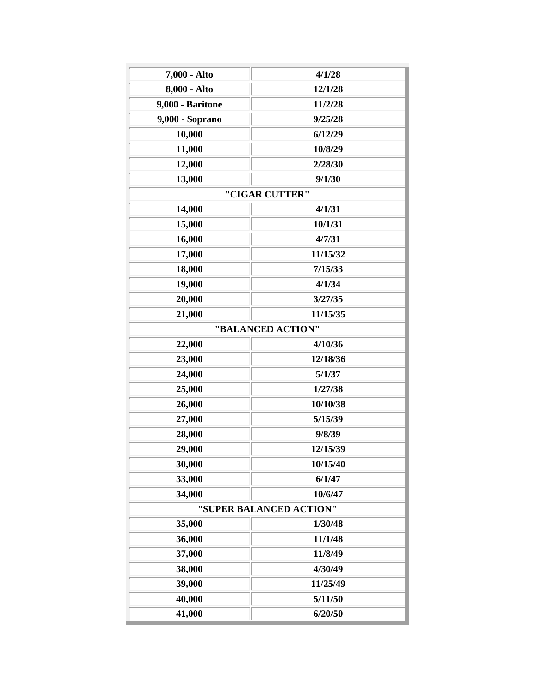| 7,000 - Alto     | 4/1/28                  |
|------------------|-------------------------|
| 8,000 - Alto     | 12/1/28                 |
| 9,000 - Baritone | 11/2/28                 |
| 9,000 - Soprano  | 9/25/28                 |
| 10,000           | 6/12/29                 |
| 11,000           | 10/8/29                 |
| 12,000           | 2/28/30                 |
| 13,000           | 9/1/30                  |
|                  | "CIGAR CUTTER"          |
| 14,000           | 4/1/31                  |
| 15,000           | 10/1/31                 |
| 16,000           | 4/7/31                  |
| 17,000           | 11/15/32                |
| 18,000           | 7/15/33                 |
| 19,000           | 4/1/34                  |
| 20,000           | 3/27/35                 |
| 21,000           | 11/15/35                |
|                  | "BALANCED ACTION"       |
| 22,000           | 4/10/36                 |
| 23,000           | 12/18/36                |
| 24,000           | 5/1/37                  |
| 25,000           | 1/27/38                 |
| 26,000           | 10/10/38                |
| 27,000           | 5/15/39                 |
| 28,000           | 9/8/39                  |
| 29,000           | 12/15/39                |
| 30,000           | 10/15/40                |
| 33,000           | 6/1/47                  |
| 34,000           | 10/6/47                 |
|                  | "SUPER BALANCED ACTION" |
| 35,000           | 1/30/48                 |
| 36,000           | 11/1/48                 |
| 37,000           | 11/8/49                 |
| 38,000           | 4/30/49                 |
| 39,000           | 11/25/49                |
| 40,000           | 5/11/50                 |
| 41,000           | 6/20/50                 |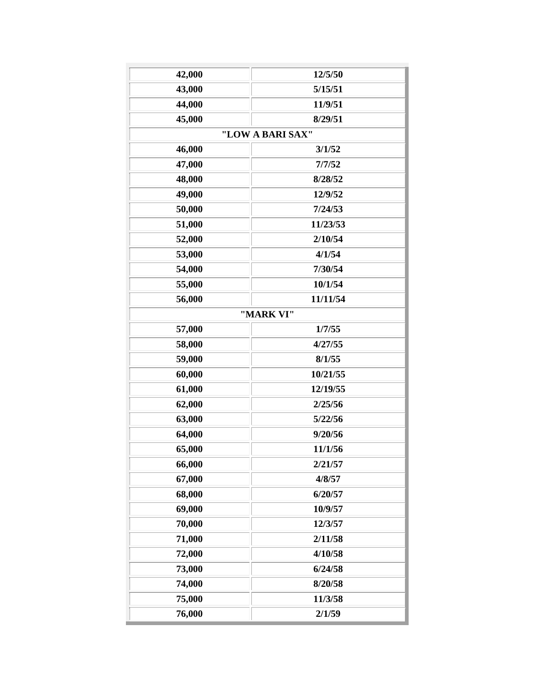| 42,000 | 12/5/50          |
|--------|------------------|
| 43,000 | 5/15/51          |
| 44,000 | 11/9/51          |
| 45,000 | 8/29/51          |
|        | "LOW A BARI SAX" |
| 46,000 | 3/1/52           |
| 47,000 | 7/7/52           |
| 48,000 | 8/28/52          |
| 49,000 | 12/9/52          |
| 50,000 | 7/24/53          |
| 51,000 | 11/23/53         |
| 52,000 | 2/10/54          |
| 53,000 | 4/1/54           |
| 54,000 | 7/30/54          |
| 55,000 | 10/1/54          |
| 56,000 | 11/11/54         |
|        | "MARK VI"        |
| 57,000 | 1/7/55           |
| 58,000 | 4/27/55          |
| 59,000 | 8/1/55           |
| 60,000 | 10/21/55         |
| 61,000 | 12/19/55         |
| 62,000 | 2/25/56          |
| 63,000 | 5/22/56          |
| 64,000 | 9/20/56          |
| 65,000 | 11/1/56          |
| 66,000 | 2/21/57          |
| 67,000 | 4/8/57           |
| 68,000 | 6/20/57          |
| 69,000 | 10/9/57          |
| 70,000 | 12/3/57          |
| 71,000 | 2/11/58          |
| 72,000 | 4/10/58          |
| 73,000 | 6/24/58          |
| 74,000 | 8/20/58          |
| 75,000 | 11/3/58          |
| 76,000 | 2/1/59           |
|        |                  |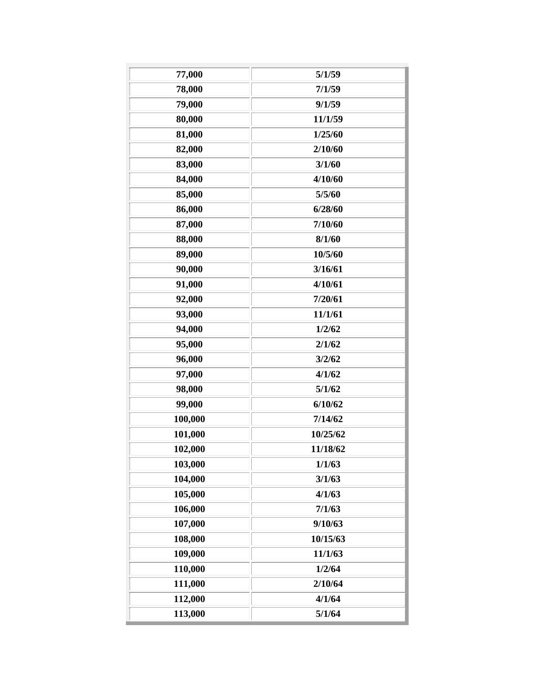| 77,000  | 5/1/59   |
|---------|----------|
| 78,000  | 7/1/59   |
| 79,000  | 9/1/59   |
| 80,000  | 11/1/59  |
| 81,000  | 1/25/60  |
| 82,000  | 2/10/60  |
| 83,000  | 3/1/60   |
| 84,000  | 4/10/60  |
| 85,000  | 5/5/60   |
| 86,000  | 6/28/60  |
| 87,000  | 7/10/60  |
| 88,000  | 8/1/60   |
| 89,000  | 10/5/60  |
| 90,000  | 3/16/61  |
| 91,000  | 4/10/61  |
| 92,000  | 7/20/61  |
| 93,000  | 11/1/61  |
| 94,000  | 1/2/62   |
| 95,000  | 2/1/62   |
| 96,000  | 3/2/62   |
| 97,000  | 4/1/62   |
| 98,000  | 5/1/62   |
| 99,000  | 6/10/62  |
| 100,000 | 7/14/62  |
| 101,000 | 10/25/62 |
| 102,000 | 11/18/62 |
| 103,000 | 1/1/63   |
| 104,000 | 3/1/63   |
| 105,000 | 4/1/63   |
| 106,000 | 7/1/63   |
| 107,000 | 9/10/63  |
| 108,000 | 10/15/63 |
| 109,000 | 11/1/63  |
| 110,000 | 1/2/64   |
| 111,000 | 2/10/64  |
| 112,000 | 4/1/64   |
| 113,000 | 5/1/64   |
|         |          |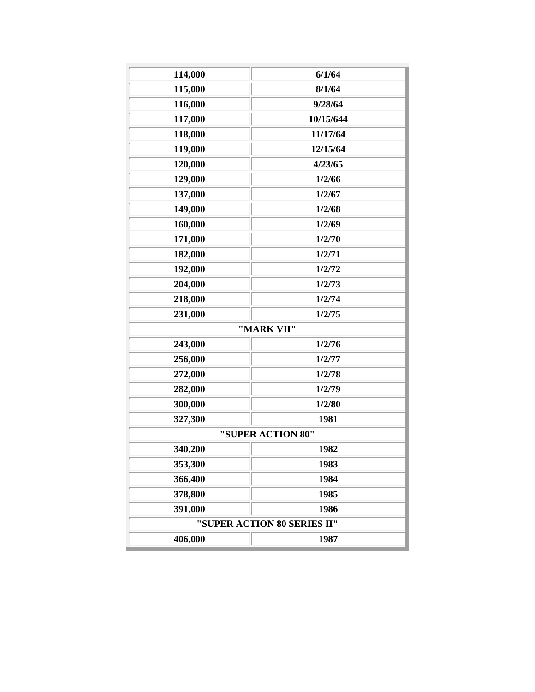| 114,000                     | 6/1/64     |  |
|-----------------------------|------------|--|
| 115,000                     | 8/1/64     |  |
| 116,000                     | 9/28/64    |  |
| 117,000                     | 10/15/644  |  |
| 118,000                     | 11/17/64   |  |
| 119,000                     | 12/15/64   |  |
| 120,000                     | 4/23/65    |  |
| 129,000                     | 1/2/66     |  |
| 137,000                     | 1/2/67     |  |
| 149,000                     | 1/2/68     |  |
| 160,000                     | 1/2/69     |  |
| 171,000                     | 1/2/70     |  |
| 182,000                     | 1/2/71     |  |
| 192,000                     | 1/2/72     |  |
| 204,000                     | 1/2/73     |  |
| 218,000                     | 1/2/74     |  |
| 231,000                     | 1/2/75     |  |
|                             | "MARK VII" |  |
| 243,000                     | 1/2/76     |  |
| 256,000                     | 1/2/77     |  |
| 272,000                     | 1/2/78     |  |
| 282,000                     | 1/2/79     |  |
| 300,000                     | 1/2/80     |  |
| 327,300                     | 1981       |  |
| "SUPER ACTION 80"           |            |  |
| 340,200                     | 1982       |  |
| 353,300                     | 1983       |  |
| 366,400                     | 1984       |  |
| 378,800                     | 1985       |  |
| 391,000                     | 1986       |  |
| "SUPER ACTION 80 SERIES II" |            |  |
| 406,000                     | 1987       |  |